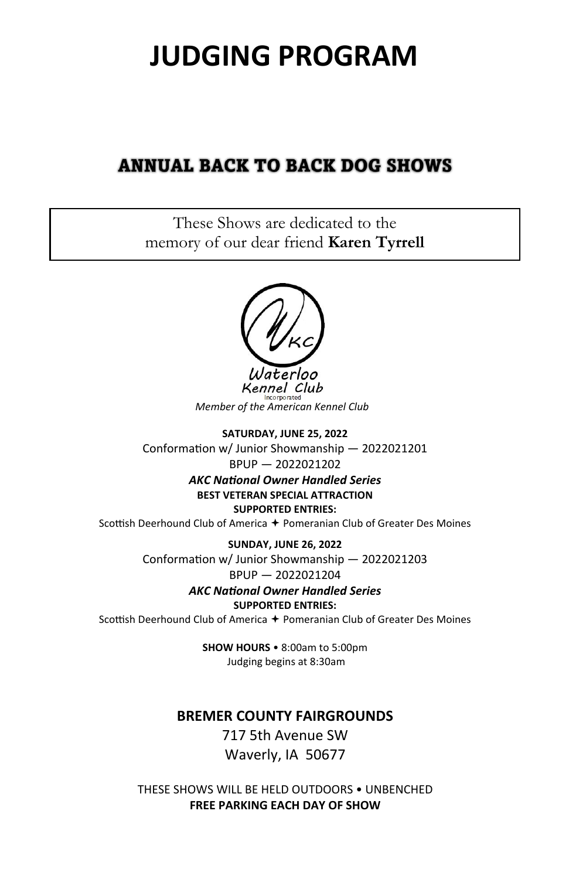# **JUDGING PROGRAM**

## **ANNUAL BACK TO BACK DOG SHOWS**

These Shows are dedicated to the memory of our dear friend **Karen Tyrrell**



Kennel Club *Member of the American Kennel Club* 

**SATURDAY, JUNE 25, 2022**  Conformation w/ Junior Showmanship - 2022021201 BPUP — 2022021202

> *AKC NaƟonal Owner Handled Series*  **BEST VETERAN SPECIAL ATTRACTION SUPPORTED ENTRIES:**

Scottish Deerhound Club of America  $\div$  Pomeranian Club of Greater Des Moines

**SUNDAY, JUNE 26, 2022**  Conformation w/ Junior Showmanship - 2022021203

BPUP — 2022021204

*AKC NaƟonal Owner Handled Series* 

**SUPPORTED ENTRIES:** 

Scottish Deerhound Club of America + Pomeranian Club of Greater Des Moines

**SHOW HOURS** • 8:00am to 5:00pm Judging begins at 8:30am

## **BREMER COUNTY FAIRGROUNDS**

717 5th Avenue SW Waverly, IA 50677

THESE SHOWS WILL BE HELD OUTDOORS • UNBENCHED **FREE PARKING EACH DAY OF SHOW**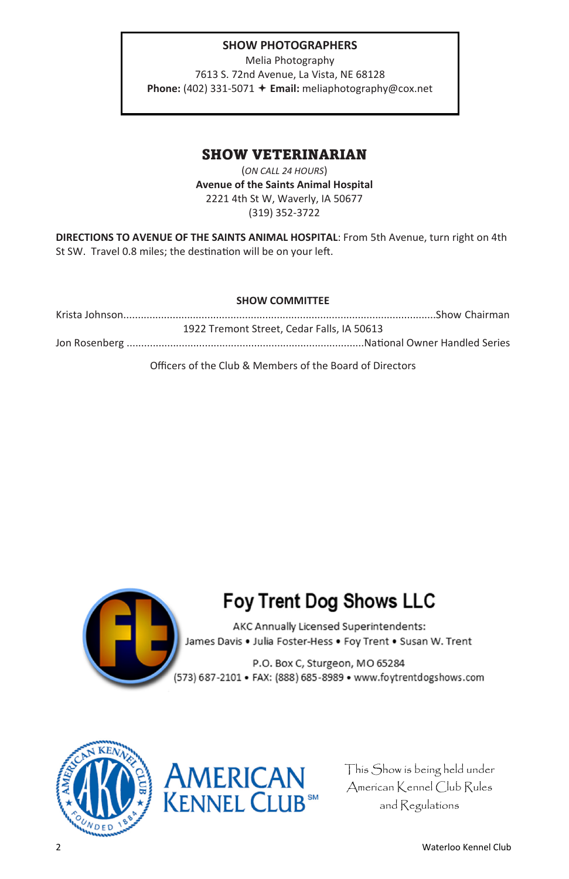#### **SHOW PHOTOGRAPHERS**

Melia Photography 7613 S. 72nd Avenue, La Vista, NE 68128 **Phone:** (402) 331-5071 **Email:** meliaphotography@cox.net

## SHOW VETERINARIAN

(*ON CALL 24 HOURS*) **Avenue of the Saints Animal Hospital**  2221 4th St W, Waverly, IA 50677 (319) 352-3722

**DIRECTIONS TO AVENUE OF THE SAINTS ANIMAL HOSPITAL**: From 5th Avenue, turn right on 4th St SW. Travel 0.8 miles; the destination will be on your left.

#### **SHOW COMMITTEE**

Krista Johnson............................................................................................................Show Chairman 1922 Tremont Street, Cedar Falls, IA 50613 Jon Rosenberg ..................................................................................NaƟonal Owner Handled Series

Officers of the Club & Members of the Board of Directors



## **Foy Trent Dog Shows LLC**

AKC Annually Licensed Superintendents: James Davis . Julia Foster-Hess . Foy Trent . Susan W. Trent

P.O. Box C, Sturgeon, MO 65284 (573) 687-2101 • FAX: (888) 685-8989 • www.foytrentdogshows.com





This Show is being held under American Kennel Club Rules and Regulations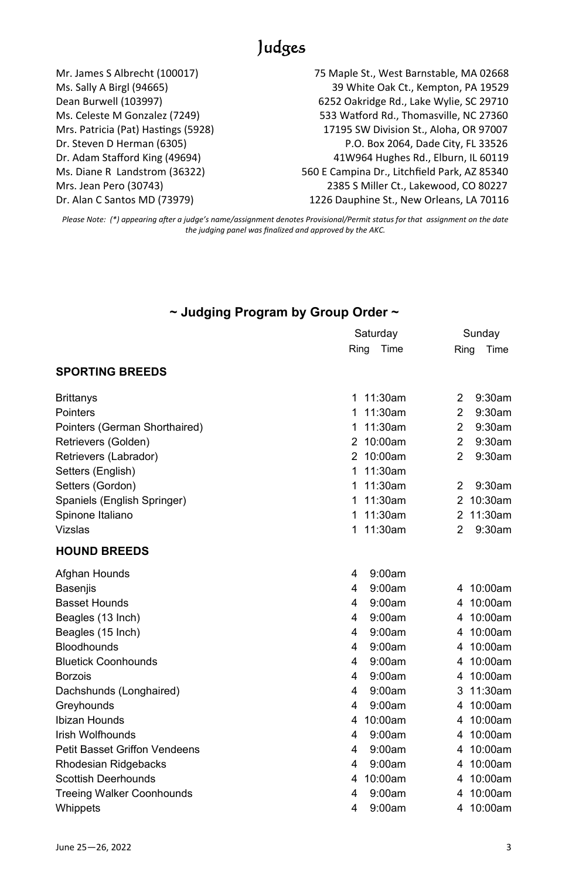## Judges

Mr. James S Albrecht (100017) 75 Maple St., West Barnstable, MA 02668 Ms. Sally A Birgl (94665) 39 White Oak Ct., Kempton, PA 19529 Dean Burwell (103997) 6252 Oakridge Rd., Lake Wylie, SC 29710 Ms. Celeste M Gonzalez (7249) 533 Watford Rd., Thomasville, NC 27360 Mrs. Patricia (Pat) Hastings (5928) 17195 SW Division St., Aloha, OR 97007 Dr. Steven D Herman (6305) P.O. Box 2064, Dade City, FL 33526 Dr. Adam Stafford King (49694) 41W964 Hughes Rd., Elburn, IL 60119 Ms. Diane R Landstrom (36322) 560 E Campina Dr., Litchfield Park, AZ 85340 Mrs. Jean Pero (30743) 2385 S Miller Ct., Lakewood, CO 80227

Dr. Alan C Santos MD (73979) 1226 Dauphine St., New Orleans, LA 70116

*Please Note: (\*) appearing aŌer a judge's name/assignment denotes Provisional/Permit status for that assignment on the date the judging panel was finalized and approved by the AKC.* 

### **~ Judging Program by Group Order ~**

|                                  | Saturday     | Sunday                      |
|----------------------------------|--------------|-----------------------------|
|                                  | Time<br>Ring | Ring<br>Time                |
| <b>SPORTING BREEDS</b>           |              |                             |
| Brittanys                        | 11:30am<br>1 | $\overline{2}$<br>$9:30$ am |
| Pointers                         | 11:30am<br>1 | 9:30am<br>2                 |
| Pointers (German Shorthaired)    | 11:30am<br>1 | $\overline{2}$<br>$9:30$ am |
| Retrievers (Golden)              | 10:00am<br>2 | 2<br>$9:30$ am              |
| Retrievers (Labrador)            | 10:00am<br>2 | $\overline{2}$<br>9:30am    |
| Setters (English)                | 11:30am<br>1 |                             |
| Setters (Gordon)                 | 11:30am<br>1 | $\overline{2}$<br>9:30am    |
| Spaniels (English Springer)      | 11:30am<br>1 | 2<br>$10:30$ am             |
| Spinone Italiano                 | 11:30am<br>1 | 11:30am<br>2                |
| Vizslas                          | 11:30am<br>1 | $\overline{2}$<br>$9:30$ am |
| <b>HOUND BREEDS</b>              |              |                             |
| Afghan Hounds                    | 9:00am<br>4  |                             |
| <b>Basenjis</b>                  | 9:00am<br>4  | 10:00am<br>4                |
| <b>Basset Hounds</b>             | 9:00am<br>4  | 10:00am<br>4                |
| Beagles (13 Inch)                | 9:00am<br>4  | 10:00am<br>4                |
| Beagles (15 Inch)                | 4<br>9:00am  | 10:00am<br>4                |
| <b>Bloodhounds</b>               | 9:00am<br>4  | 10:00am<br>4                |
| <b>Bluetick Coonhounds</b>       | 9:00am<br>4  | 10:00am<br>4                |
| <b>Borzois</b>                   | 9:00am<br>4  | 10:00am<br>4                |
| Dachshunds (Longhaired)          | 4<br>9:00am  | 11:30am<br>3                |
| Greyhounds                       | 9:00am<br>4  | 10:00am<br>4                |
| Ibizan Hounds                    | 10:00am<br>4 | 10:00am<br>4                |
| <b>Irish Wolfhounds</b>          | 9:00am<br>4  | 10:00am<br>4                |
| Petit Basset Griffon Vendeens    | 9:00am<br>4  | 10:00am<br>4                |
| Rhodesian Ridgebacks             | 9:00am<br>4  | 10:00am<br>4                |
| <b>Scottish Deerhounds</b>       | 10:00am<br>4 | 10:00am<br>4                |
| <b>Treeing Walker Coonhounds</b> | 9:00am<br>4  | 10:00am<br>4                |
| Whippets                         | 9:00am<br>4  | 10:00am<br>4                |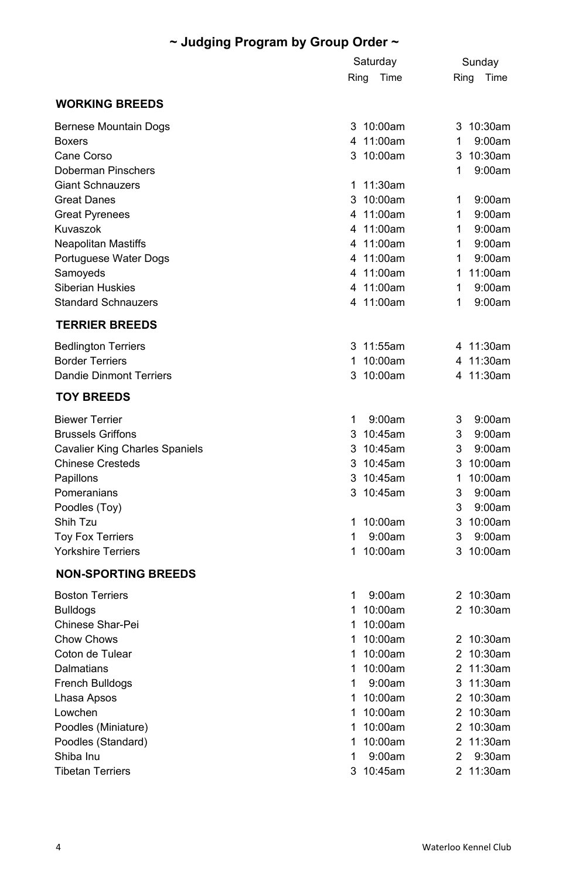## **~ Judging Program by Group Order ~**

|                                | Saturday     | Sunday                      |
|--------------------------------|--------------|-----------------------------|
|                                | Ring<br>Time | Ring<br>Time                |
| <b>WORKING BREEDS</b>          |              |                             |
| Bernese Mountain Dogs          | 3 10:00am    | 3 10:30am                   |
| <b>Boxers</b>                  | 4 11:00am    | 1<br>9:00am                 |
| Cane Corso                     | 10:00am<br>3 | 3 10:30am                   |
| Doberman Pinschers             |              | 1<br>9:00am                 |
| <b>Giant Schnauzers</b>        | 1 11:30am    |                             |
| Great Danes                    | 3 10:00am    | 1<br>9:00am                 |
| <b>Great Pyrenees</b>          | 4 11:00am    | 1<br>9:00am                 |
| Kuvaszok                       | 4 11:00am    | 1<br>9:00am                 |
| Neapolitan Mastiffs            | 4 11:00am    | 1<br>9:00am                 |
| Portuguese Water Dogs          | 4 11:00am    | 1<br>9:00am                 |
| Samoyeds                       | 4 11:00am    | 1 11:00am                   |
| Siberian Huskies               | 4 11:00am    | 1<br>9:00am                 |
| <b>Standard Schnauzers</b>     | 4 11:00am    | 1<br>9:00am                 |
| <b>TERRIER BREEDS</b>          |              |                             |
| <b>Bedlington Terriers</b>     | 3 11:55am    | 4 11:30am                   |
| <b>Border Terriers</b>         | 1 10:00am    | 4 11:30am                   |
| <b>Dandie Dinmont Terriers</b> | 3 10:00am    | 4 11:30am                   |
| <b>TOY BREEDS</b>              |              |                             |
| <b>Biewer Terrier</b>          | 1<br>9:00am  | 3<br>9:00am                 |
| <b>Brussels Griffons</b>       | 3 10:45am    | 3<br>9:00am                 |
| Cavalier King Charles Spaniels | 3 10:45am    | 3<br>9:00am                 |
| <b>Chinese Cresteds</b>        | 3 10:45am    | 3 10:00am                   |
| Papillons                      | 3 10:45am    | 1<br>10:00am                |
| Pomeranians                    | 3 10:45am    | 3<br>9:00am                 |
| Poodles (Toy)                  |              | 3<br>9:00am                 |
| Shih Tzu                       | 1<br>10:00am | 3 10:00am                   |
| <b>Toy Fox Terriers</b>        | 1<br>9:00am  | 3<br>9:00am                 |
| <b>Yorkshire Terriers</b>      | 1<br>10:00am | 3 10:00am                   |
| <b>NON-SPORTING BREEDS</b>     |              |                             |
| <b>Boston Terriers</b>         | 1<br>9:00am  | 2 10:30am                   |
| Bulldogs                       | 1 10:00am    | 2 10:30am                   |
| Chinese Shar-Pei               | 1 10:00am    |                             |
| Chow Chows                     | 1 10:00am    | 2 10:30am                   |
| Coton de Tulear                | 1 10:00am    | 2 10:30am                   |
| Dalmatians                     | 1 10:00am    | 2 11:30am                   |
| French Bulldogs                | 1<br>9:00am  | 3 11:30am                   |
| Lhasa Apsos                    | 1 10:00am    | 2 10:30am                   |
| Lowchen                        | 1 10:00am    | 2 10:30am                   |
| Poodles (Miniature)            | 1 10:00am    | 2 10:30am                   |
| Poodles (Standard)             | 1<br>10:00am | 2 11:30am                   |
| Shiba Inu                      | 1<br>9:00am  | $\overline{2}$<br>$9:30$ am |
| <b>Tibetan Terriers</b>        | 3 10:45am    | 2 11:30am                   |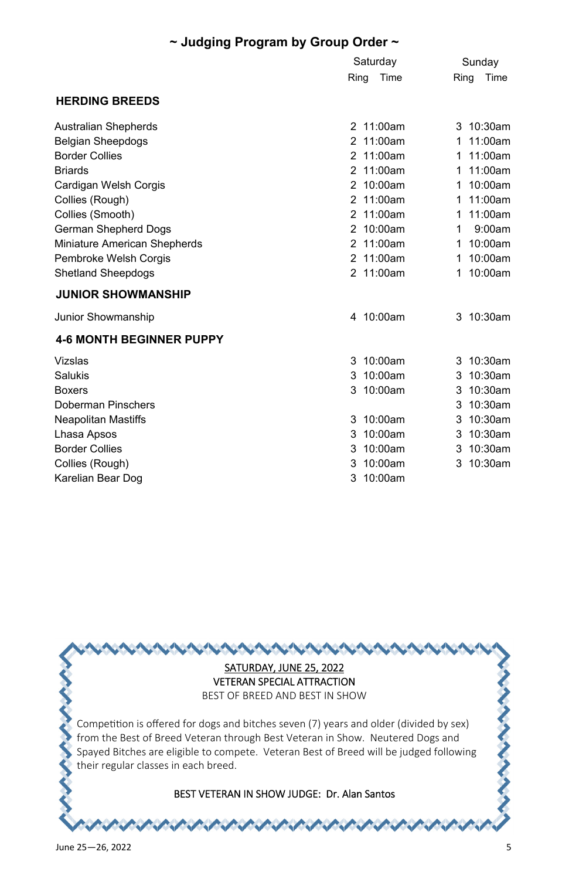## **~ Judging Program by Group Order ~**

|                                 | Saturday     | Sunday          |
|---------------------------------|--------------|-----------------|
|                                 | Time<br>Ring | Time<br>Ring    |
| <b>HERDING BREEDS</b>           |              |                 |
| Australian Shepherds            | 2 11:00am    | 3 10:30am       |
| <b>Belgian Sheepdogs</b>        | 2 11:00am    | 11:00am<br>1    |
| <b>Border Collies</b>           | 11:00am<br>2 | 11:00am<br>1    |
| <b>Briards</b>                  | 11:00am<br>2 | 11:00am<br>1    |
| Cardigan Welsh Corgis           | 10:00am<br>2 | 10:00am<br>1    |
| Collies (Rough)                 | 11:00am<br>2 | 11:00am<br>1    |
| Collies (Smooth)                | 2<br>11:00am | 11:00am<br>1    |
| German Shepherd Dogs            | 10:00am<br>2 | 9:00am<br>1     |
| Miniature American Shepherds    | 11:00am<br>2 | 10:00am<br>1    |
| Pembroke Welsh Corgis           | 2 11:00am    | 10:00am<br>1    |
| <b>Shetland Sheepdogs</b>       | 2 11:00am    | 10:00am<br>1    |
| <b>JUNIOR SHOWMANSHIP</b>       |              |                 |
| Junior Showmanship              | 4 10:00am    | 3 10:30am       |
| <b>4-6 MONTH BEGINNER PUPPY</b> |              |                 |
| Vizslas                         | 3 10:00am    | $10:30$ am<br>3 |
| Salukis                         | 10:00am<br>3 | 10:30am<br>3    |
| <b>Boxers</b>                   | 10:00am<br>3 | 10:30am<br>3    |
| Doberman Pinschers              |              | $10:30$ am<br>3 |
| <b>Neapolitan Mastiffs</b>      | 10:00am<br>3 | 10:30am<br>3    |
| Lhasa Apsos                     | 10:00am<br>3 | 10:30am<br>3    |
| <b>Border Collies</b>           | 10:00am<br>3 | $10:30$ am<br>3 |
| Collies (Rough)                 | 10:00am<br>3 | 10:30am<br>3    |
| Karelian Bear Dog               | 3<br>10:00am |                 |

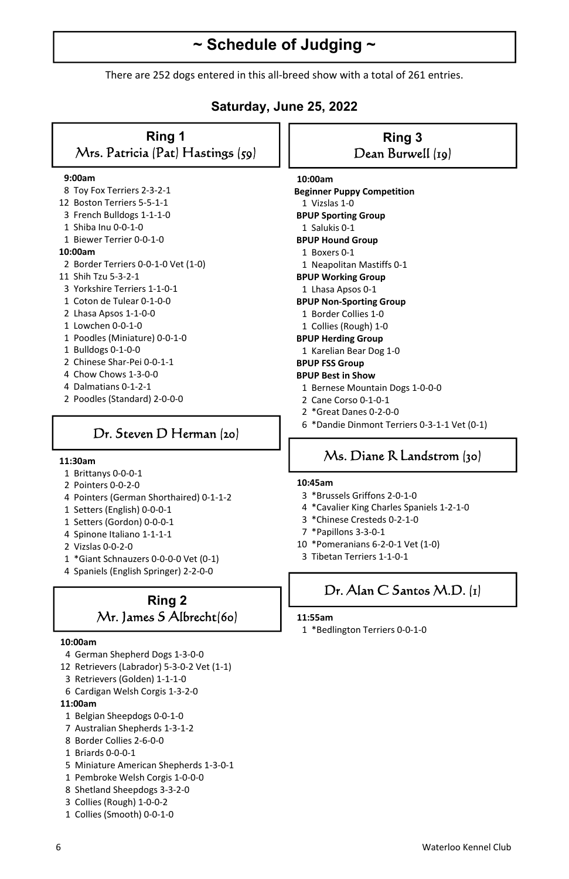## **~ Schedule of Judging ~**

There are 252 dogs entered in this all-breed show with a total of 261 entries.

### **Saturday, June 25, 2022**

#### **Ring 1**  Mrs. Patricia (Pat) Hastings (59)

#### **9:00am**

- 8 Toy Fox Terriers 2-3-2-1
- 12 Boston Terriers 5-5-1-1
- 3 French Bulldogs 1-1-1-0
- 1 Shiba Inu 0-0-1-0
- 1 Biewer Terrier 0-0-1-0

#### **10:00am**

- 2 Border Terriers 0-0-1-0 Vet (1-0)
- 11 Shih Tzu 5-3-2-1
- 3 Yorkshire Terriers 1-1-0-1
- 1 Coton de Tulear 0-1-0-0
- 2 Lhasa Apsos 1-1-0-0
- 1 Lowchen 0-0-1-0
- 1 Poodles (Miniature) 0-0-1-0
- 1 Bulldogs 0-1-0-0
- 2 Chinese Shar-Pei 0-0-1-1
- 4 Chow Chows 1-3-0-0
- 4 Dalmatians 0-1-2-1
- 2 Poodles (Standard) 2-0-0-0

## Dr. Steven D Herman (20)

#### **11:30am**

- 1 Brittanys 0-0-0-1
- 2 Pointers 0-0-2-0
- 4 Pointers (German Shorthaired) 0-1-1-2
- 1 Setters (English) 0-0-0-1
- 1 Setters (Gordon) 0-0-0-1
- 4 Spinone Italiano 1-1-1-1
- 2 Vizslas 0-0-2-0
- 1 \*Giant Schnauzers 0-0-0-0 Vet (0-1)
- 4 Spaniels (English Springer) 2-2-0-0

## **Ring 2**  Mr. James S Albrecht(60)

#### **10:00am**

- 4 German Shepherd Dogs 1-3-0-0
- 12 Retrievers (Labrador) 5-3-0-2 Vet (1-1)
- 3 Retrievers (Golden) 1-1-1-0
- 6 Cardigan Welsh Corgis 1-3-2-0
- **11:00am**
- 1 Belgian Sheepdogs 0-0-1-0
- 7 Australian Shepherds 1-3-1-2
- 8 Border Collies 2-6-0-0
- 1 Briards 0-0-0-1
- 5 Miniature American Shepherds 1-3-0-1
- 1 Pembroke Welsh Corgis 1-0-0-0
- 8 Shetland Sheepdogs 3-3-2-0
- 3 Collies (Rough) 1-0-0-2
- 1 Collies (Smooth) 0-0-1-0

#### **Ring 3**  Dean Burwell (19)

 **10:00am Beginner Puppy Competition**  1 Vizslas 1-0  **BPUP Sporting Group**  1 Salukis 0-1  **BPUP Hound Group**  1 Boxers 0-1 1 Neapolitan Mastiffs 0-1  **BPUP Working Group**  1 Lhasa Apsos 0-1  **BPUP Non-Sporting Group**  1 Border Collies 1-0 1 Collies (Rough) 1-0  **BPUP Herding Group**  1 Karelian Bear Dog 1-0  **BPUP FSS Group** 

#### **BPUP Best in Show**

- 1 Bernese Mountain Dogs 1-0-0-0
- 2 Cane Corso 0-1-0-1
- 2 \*Great Danes 0-2-0-0
- 6 \*Dandie Dinmont Terriers 0-3-1-1 Vet (0-1)

## Ms. Diane R Landstrom (30)

#### **10:45am**

- 3 \*Brussels Griffons 2-0-1-0
- 4 \*Cavalier King Charles Spaniels 1-2-1-0
- 3 \*Chinese Cresteds 0-2-1-0
- 7 \*Papillons 3-3-0-1
- 10 \*Pomeranians 6-2-0-1 Vet (1-0)
- 3 Tibetan Terriers 1-1-0-1

## Dr. Alan C Santos M.D. (1)

#### **11:55am**

1 \*Bedlington Terriers 0-0-1-0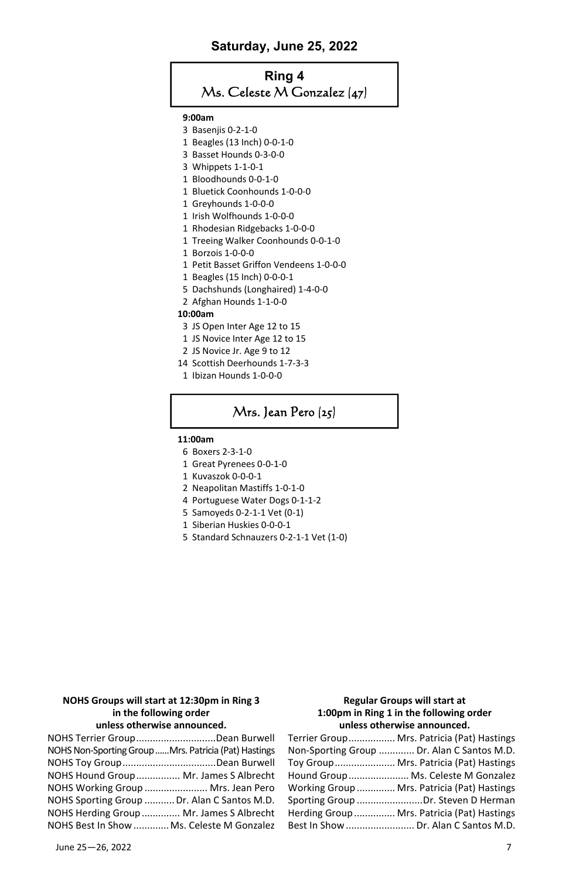#### **Saturday, June 25, 2022**

## **Ring 4**  Ms. Celeste M Gonzalez (47)

#### **9:00am**

- 3 Basenjis 0-2-1-0
- 1 Beagles (13 Inch) 0-0-1-0
- 3 Basset Hounds 0-3-0-0
- 3 Whippets 1-1-0-1
- 1 Bloodhounds 0-0-1-0
- 1 Bluetick Coonhounds 1-0-0-0
- 1 Greyhounds 1-0-0-0
- 1 Irish Wolfhounds 1-0-0-0
- 1 Rhodesian Ridgebacks 1-0-0-0
- 1 Treeing Walker Coonhounds 0-0-1-0
- 1 Borzois 1-0-0-0
- 1 Petit Basset Griffon Vendeens 1-0-0-0
- 1 Beagles (15 Inch) 0-0-0-1
- 5 Dachshunds (Longhaired) 1-4-0-0
- 2 Afghan Hounds 1-1-0-0

#### **10:00am**

- 3 JS Open Inter Age 12 to 15
- 1 JS Novice Inter Age 12 to 15
- 2 JS Novice Jr. Age 9 to 12
- 14 Scottish Deerhounds 1-7-3-3
- 1 Ibizan Hounds 1-0-0-0

## Mrs. Jean Pero (25)

#### **11:00am**

- 6 Boxers 2-3-1-0
- 1 Great Pyrenees 0-0-1-0
- 1 Kuvaszok 0-0-0-1
- 2 Neapolitan Mastiffs 1-0-1-0
- 4 Portuguese Water Dogs 0-1-1-2
- 5 Samoyeds 0-2-1-1 Vet (0-1)
- 1 Siberian Huskies 0-0-0-1
- 5 Standard Schnauzers 0-2-1-1 Vet (1-0)

#### **NOHS Groups will start at 12:30pm in Ring 3 in the following order unless otherwise announced.**

| NOHS Terrier GroupDean Burwell                       |  |
|------------------------------------------------------|--|
| NOHS Non-Sporting Group Mrs. Patricia (Pat) Hastings |  |
| NOHS Toy GroupDean Burwell                           |  |
| NOHS Hound Group Mr. James S Albrecht                |  |
| NOHS Working Group  Mrs. Jean Pero                   |  |
| NOHS Sporting Group  Dr. Alan C Santos M.D.          |  |
| NOHS Herding Group  Mr. James S Albrecht             |  |
| NOHS Best In Show  Ms. Celeste M Gonzalez            |  |

#### **Regular Groups will start at 1:00pm in Ring 1 in the following order unless otherwise announced.**

| Terrier Group Mrs. Patricia (Pat) Hastings  |
|---------------------------------------------|
| Non-Sporting Group  Dr. Alan C Santos M.D.  |
| Toy Group Mrs. Patricia (Pat) Hastings      |
| Hound Group Ms. Celeste M Gonzalez          |
| Working Group  Mrs. Patricia (Pat) Hastings |
| Sporting Group Dr. Steven D Herman          |
| Herding Group Mrs. Patricia (Pat) Hastings  |
| Best In Show  Dr. Alan C Santos M.D.        |
|                                             |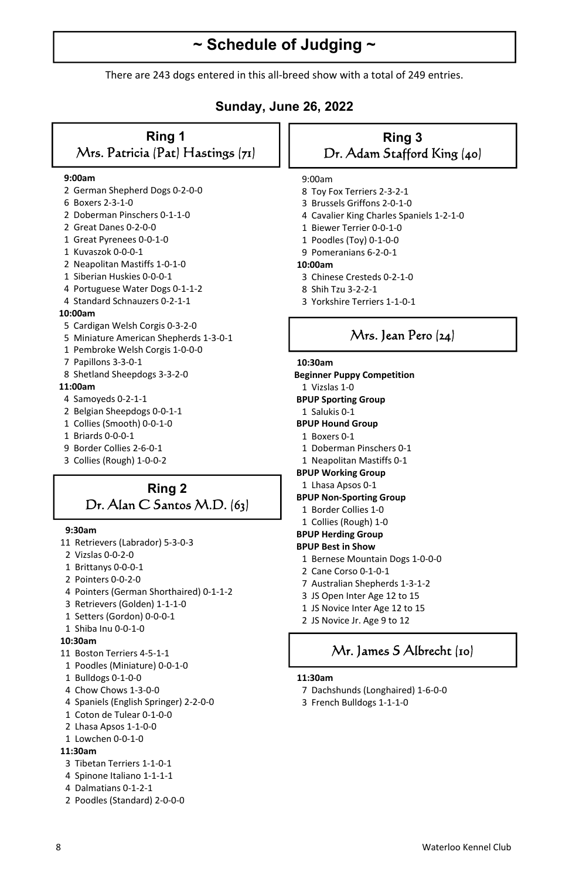## **~ Schedule of Judging ~**

There are 243 dogs entered in this all-breed show with a total of 249 entries.

### **Sunday, June 26, 2022**

#### **Ring 1**  Mrs. Patricia (Pat) Hastings (71)

#### **9:00am**

- 2 German Shepherd Dogs 0-2-0-0
- 6 Boxers 2-3-1-0
- 2 Doberman Pinschers 0-1-1-0
- 2 Great Danes 0-2-0-0
- 1 Great Pyrenees 0-0-1-0
- 1 Kuvaszok 0-0-0-1
- 2 Neapolitan Mastiffs 1-0-1-0
- 1 Siberian Huskies 0-0-0-1
- 4 Portuguese Water Dogs 0-1-1-2
- 4 Standard Schnauzers 0-2-1-1

#### **10:00am**

- 5 Cardigan Welsh Corgis 0-3-2-0
- 5 Miniature American Shepherds 1-3-0-1
- 1 Pembroke Welsh Corgis 1-0-0-0
- 7 Papillons 3-3-0-1
- 8 Shetland Sheepdogs 3-3-2-0

#### **11:00am**

- 4 Samoyeds 0-2-1-1
- 2 Belgian Sheepdogs 0-0-1-1
- 1 Collies (Smooth) 0-0-1-0
- 1 Briards 0-0-0-1
- 9 Border Collies 2-6-0-1
- 3 Collies (Rough) 1-0-0-2

### **Ring 2**  Dr. Alan C Santos M.D. (63)

#### **9:30am**

- 11 Retrievers (Labrador) 5-3-0-3
- 2 Vizslas 0-0-2-0
- 1 Brittanys 0-0-0-1
- 2 Pointers 0-0-2-0
- 4 Pointers (German Shorthaired) 0-1-1-2
- 3 Retrievers (Golden) 1-1-1-0
- 1 Setters (Gordon) 0-0-0-1
- 1 Shiba Inu 0-0-1-0

#### **10:30am**

- 11 Boston Terriers 4-5-1-1
- 1 Poodles (Miniature) 0-0-1-0
- 1 Bulldogs 0-1-0-0
- 4 Chow Chows 1-3-0-0
- 4 Spaniels (English Springer) 2-2-0-0
- 1 Coton de Tulear 0-1-0-0
- 2 Lhasa Apsos 1-1-0-0
- 1 Lowchen 0-0-1-0

#### **11:30am**

- 3 Tibetan Terriers 1-1-0-1
- 4 Spinone Italiano 1-1-1-1
- 4 Dalmatians 0-1-2-1
- 2 Poodles (Standard) 2-0-0-0

#### **Ring 3**  Dr. Adam Stafford King (40)

#### 9:00am

- 8 Toy Fox Terriers 2-3-2-1
- 3 Brussels Griffons 2-0-1-0
- 4 Cavalier King Charles Spaniels 1-2-1-0
- 1 Biewer Terrier 0-0-1-0
- 1 Poodles (Toy) 0-1-0-0
- 9 Pomeranians 6-2-0-1

#### **10:00am**

- 3 Chinese Cresteds 0-2-1-0
- 8 Shih Tzu 3-2-2-1
- 3 Yorkshire Terriers 1-1-0-1

## Mrs. Jean Pero (24)

#### **10:30am**

**Beginner Puppy Competition** 1 Vizslas 1-0

- **BPUP Sporting Group**
- 1 Salukis 0-1
- **BPUP Hound Group**
- 1 Boxers 0-1
- 1 Doberman Pinschers 0-1
- 1 Neapolitan Mastiffs 0-1
- **BPUP Working Group**
- 1 Lhasa Apsos 0-1

#### **BPUP Non-Sporting Group**

- 1 Border Collies 1-0
- 1 Collies (Rough) 1-0

#### **BPUP Herding Group**

#### **BPUP Best in Show**

- 1 Bernese Mountain Dogs 1-0-0-0
- 2 Cane Corso 0-1-0-1
- 7 Australian Shepherds 1-3-1-2
- 3 JS Open Inter Age 12 to 15
- 1 JS Novice Inter Age 12 to 15
- 2 JS Novice Jr. Age 9 to 12

### Mr. James S Albrecht (10)

#### **11:30am**

- 7 Dachshunds (Longhaired) 1-6-0-0
- 3 French Bulldogs 1-1-1-0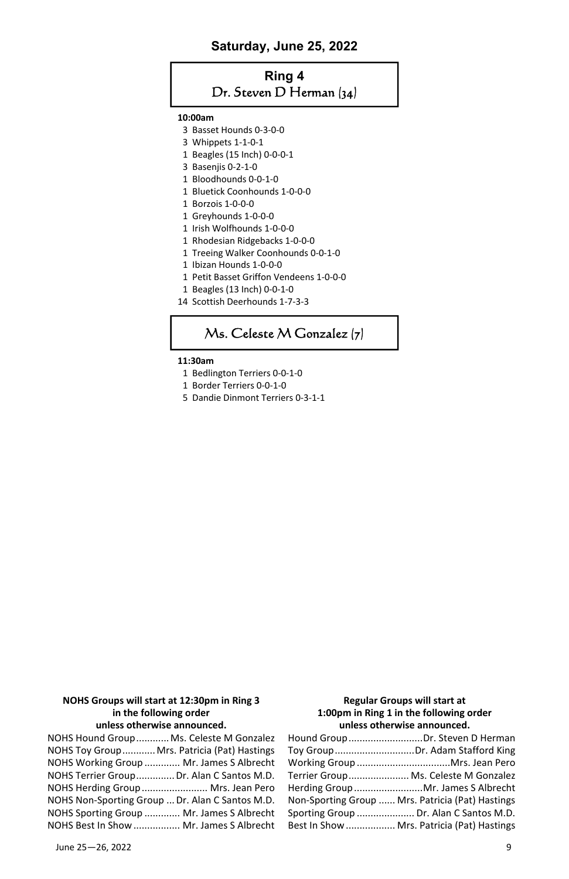#### **Saturday, June 25, 2022**

## **Ring 4**  Dr. Steven D Herman (34)

#### **10:00am**

- 3 Basset Hounds 0-3-0-0
- 3 Whippets 1-1-0-1
- 1 Beagles (15 Inch) 0-0-0-1
- 3 Basenjis 0-2-1-0
- 1 Bloodhounds 0-0-1-0
- 1 Bluetick Coonhounds 1-0-0-0
- 1 Borzois 1-0-0-0
- 1 Greyhounds 1-0-0-0
- 1 Irish Wolfhounds 1-0-0-0
- 1 Rhodesian Ridgebacks 1-0-0-0
- 1 Treeing Walker Coonhounds 0-0-1-0
- 1 Ibizan Hounds 1-0-0-0
- 1 Petit Basset Griffon Vendeens 1-0-0-0
- 1 Beagles (13 Inch) 0-0-1-0
- 14 Scottish Deerhounds 1-7-3-3

## Ms. Celeste M Gonzalez (7)

#### **11:30am**

- 1 Bedlington Terriers 0-0-1-0
- 1 Border Terriers 0-0-1-0
- 5 Dandie Dinmont Terriers 0-3-1-1

#### **NOHS Groups will start at 12:30pm in Ring 3 in the following order unless otherwise announced.**

NOHS Hound Group ............ Ms. Celeste M Gonzalez NOHS Toy Group ............ Mrs. Patricia (Pat) Hastings NOHS Working Group ............. Mr. James S Albrecht NOHS Terrier Group .............. Dr. Alan C Santos M.D. NOHS Herding Group ........................ Mrs. Jean Pero NOHS Non-Sporting Group ... Dr. Alan C Santos M.D. NOHS Sporting Group ............. Mr. James S Albrecht NOHS Best In Show ................. Mr. James S Albrecht

#### **Regular Groups will start at 1:00pm in Ring 1 in the following order unless otherwise announced.**

| Hound GroupDr. Steven D Herman                   |
|--------------------------------------------------|
| Toy GroupDr. Adam Stafford King                  |
|                                                  |
| Terrier Group Ms. Celeste M Gonzalez             |
| Herding Group Mr. James S Albrecht               |
| Non-Sporting Group  Mrs. Patricia (Pat) Hastings |
| Sporting Group  Dr. Alan C Santos M.D.           |
| Best In Show  Mrs. Patricia (Pat) Hastings       |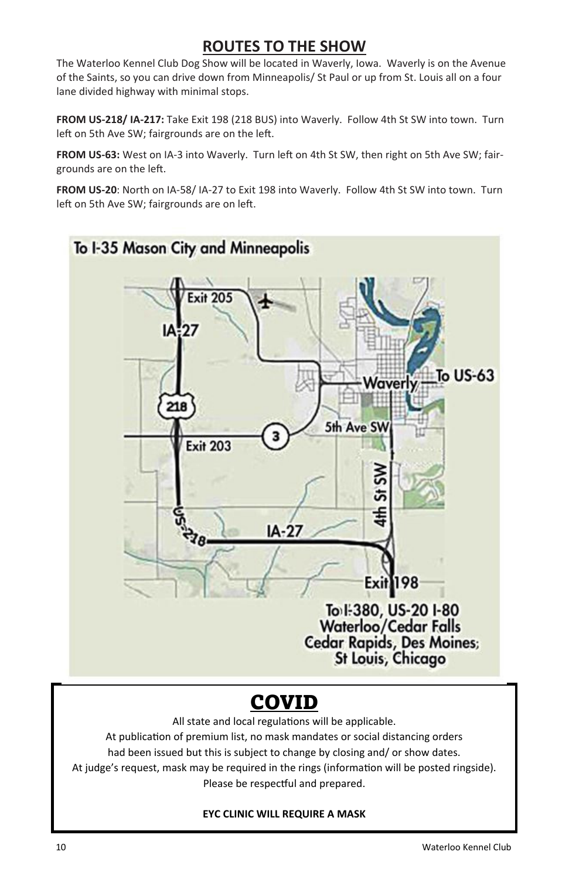## **ROUTES TO THE SHOW**

The Waterloo Kennel Club Dog Show will be located in Waverly, Iowa. Waverly is on the Avenue of the Saints, so you can drive down from Minneapolis/ St Paul or up from St. Louis all on a four lane divided highway with minimal stops.

**FROM US-218/ IA-217:** Take Exit 198 (218 BUS) into Waverly. Follow 4th St SW into town. Turn left on 5th Ave SW; fairgrounds are on the left.

FROM US-63: West on IA-3 into Waverly. Turn left on 4th St SW, then right on 5th Ave SW; fairgrounds are on the left.

**FROM US-20**: North on IA-58/ IA-27 to Exit 198 into Waverly. Follow 4th St SW into town. Turn left on 5th Ave SW; fairgrounds are on left.



## COVID

All state and local regulations will be applicable.

At publication of premium list, no mask mandates or social distancing orders had been issued but this is subject to change by closing and/ or show dates. At judge's request, mask may be required in the rings (information will be posted ringside). Please be respectful and prepared.

### **EYC CLINIC WILL REQUIRE A MASK**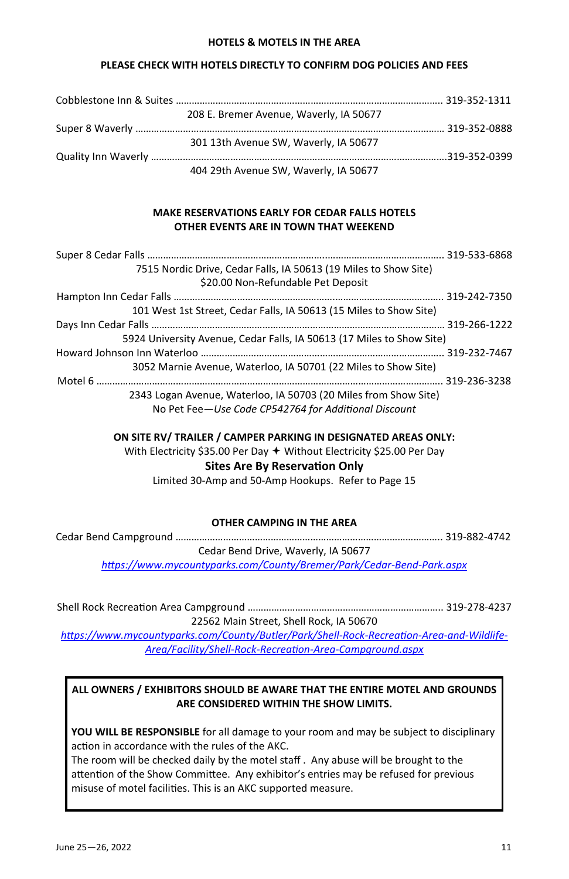#### **HOTELS & MOTELS IN THE AREA**

#### **PLEASE CHECK WITH HOTELS DIRECTLY TO CONFIRM DOG POLICIES AND FEES**

| 208 E. Bremer Avenue, Waverly, IA 50677 |  |
|-----------------------------------------|--|
|                                         |  |
| 301 13th Avenue SW. Waverly, IA 50677   |  |
|                                         |  |
| 404 29th Avenue SW, Waverly, IA 50677   |  |

#### **MAKE RESERVATIONS EARLY FOR CEDAR FALLS HOTELS OTHER EVENTS ARE IN TOWN THAT WEEKEND**

| 7515 Nordic Drive, Cedar Falls, IA 50613 (19 Miles to Show Site)      |  |
|-----------------------------------------------------------------------|--|
| \$20.00 Non-Refundable Pet Deposit                                    |  |
|                                                                       |  |
| 101 West 1st Street, Cedar Falls, IA 50613 (15 Miles to Show Site)    |  |
|                                                                       |  |
| 5924 University Avenue, Cedar Falls, IA 50613 (17 Miles to Show Site) |  |
|                                                                       |  |
| 3052 Marnie Avenue, Waterloo, IA 50701 (22 Miles to Show Site)        |  |
|                                                                       |  |
| 2343 Logan Avenue, Waterloo, IA 50703 (20 Miles from Show Site)       |  |
| No Pet Fee-Use Code CP542764 for Additional Discount                  |  |

#### **ON SITE RV/ TRAILER / CAMPER PARKING IN DESIGNATED AREAS ONLY:**

With Electricity \$35.00 Per Day  $+$  Without Electricity \$25.00 Per Day

**Sites Are By Reservation Only** 

Limited 30-Amp and 50-Amp Hookups. Refer to Page 15

#### **OTHER CAMPING IN THE AREA**

Cedar Bend Campground ……………………………………………………………………………………….. 319-882-4742

Cedar Bend Drive, Waverly, IA 50677

*hƩps://www.mycountyparks.com/County/Bremer/Park/Cedar-Bend-Park.aspx* 

Shell Rock RecreaƟon Area Campground ……………………………………………………………….. 319-278-4237 22562 Main Street, Shell Rock, IA 50670

https://www.mycountyparks.com/County/Butler/Park/Shell-Rock-Recreation-Area-and-Wildlife-*Area/Facility/Shell-Rock-RecreaƟon-Area-Campground.aspx* 

**ALL OWNERS / EXHIBITORS SHOULD BE AWARE THAT THE ENTIRE MOTEL AND GROUNDS ARE CONSIDERED WITHIN THE SHOW LIMITS.** 

**YOU WILL BE RESPONSIBLE** for all damage to your room and may be subject to disciplinary action in accordance with the rules of the AKC.

The room will be checked daily by the motel staff . Any abuse will be brought to the attention of the Show Committee. Any exhibitor's entries may be refused for previous misuse of motel facilities. This is an AKC supported measure.